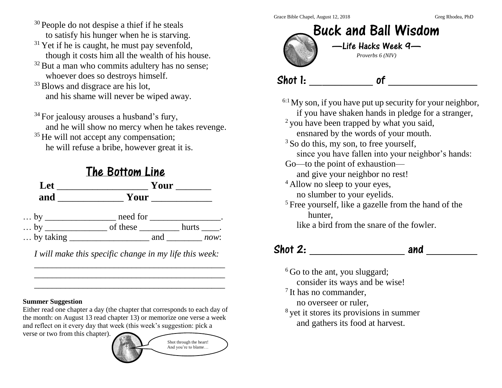Grace Bible Chapel, August 12, 2018 Grace Bible Chapel, August 12, 2018

- <sup>30</sup> People do not despise a thief if he steals to satisfy his hunger when he is starving.
- $31$  Yet if he is caught, he must pay sevenfold, though it costs him all the wealth of his house.
- $32$  But a man who commits adultery has no sense; whoever does so destroys himself.
- <sup>33</sup> Blows and disgrace are his lot, and his shame will never be wiped away.
- $34$  For jealousy arouses a husband's fury, and he will show no mercy when he takes revenge.
- <sup>35</sup> He will not accept any compensation; he will refuse a bribe, however great it is.



*I will make this specific change in my life this week:* \_\_\_\_\_\_\_\_\_\_\_\_\_\_\_\_\_\_\_\_\_\_\_\_\_\_\_\_\_\_\_\_\_\_\_\_\_\_\_\_\_\_\_

\_\_\_\_\_\_\_\_\_\_\_\_\_\_\_\_\_\_\_\_\_\_\_\_\_\_\_\_\_\_\_\_\_\_\_\_\_\_\_\_\_\_\_

### **Summer Suggestion**

Either read one chapter a day (the chapter that corresponds to each day of the month: on August 13 read chapter 13) or memorize one verse a week and reflect on it every day that week (this week's suggestion: pick a

verse or two from this chapter).





 $6:1$  My son, if you have put up security for your neighbor,

if you have shaken hands in pledge for a stranger,

<sup>2</sup> you have been trapped by what you said,

ensnared by the words of your mouth.

 $3$  So do this, my son, to free yourself,

since you have fallen into your neighbor's hands:

Go—to the point of exhaustion—

and give your neighbor no rest!

- <sup>4</sup> Allow no sleep to your eyes,
	- no slumber to your eyelids.
- <sup>5</sup> Free yourself, like a gazelle from the hand of the hunter,

like a bird from the snare of the fowler.

# $\mathsf{shot}\ 2: \begin{array}{|c|c|c|c|c|}\n\hline\n\text{chot}\ 2: & \text{and} \end{array}$

 $6$  Go to the ant, you sluggard; consider its ways and be wise!

- <sup>7</sup> It has no commander,
- no overseer or ruler,
- <sup>8</sup> yet it stores its provisions in summer
	- and gathers its food at harvest.